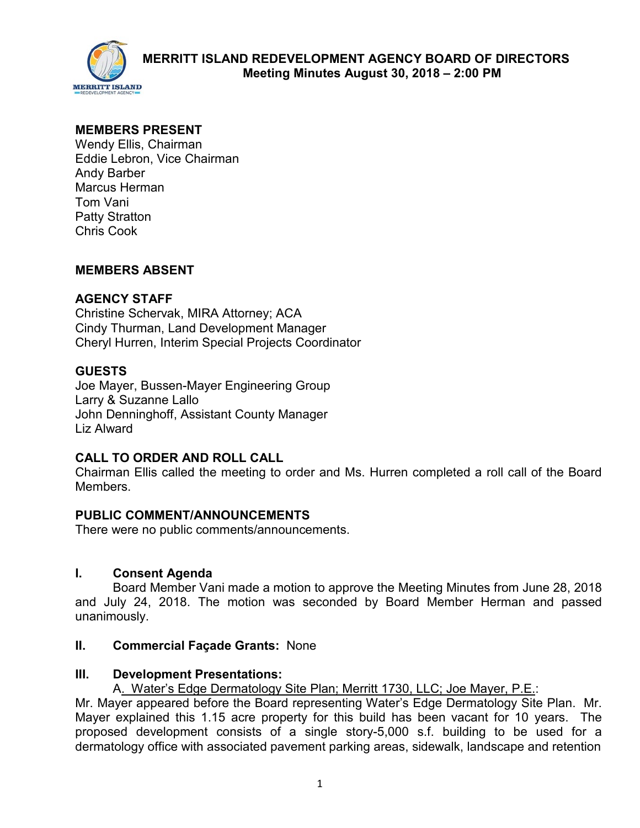

## **MEMBERS PRESENT**

Wendy Ellis, Chairman Eddie Lebron, Vice Chairman Andy Barber Marcus Herman Tom Vani Patty Stratton Chris Cook

## **MEMBERS ABSENT**

## **AGENCY STAFF**

Christine Schervak, MIRA Attorney; ACA Cindy Thurman, Land Development Manager Cheryl Hurren, Interim Special Projects Coordinator

## **GUESTS**

Joe Mayer, Bussen-Mayer Engineering Group Larry & Suzanne Lallo John Denninghoff, Assistant County Manager Liz Alward

## **CALL TO ORDER AND ROLL CALL**

Chairman Ellis called the meeting to order and Ms. Hurren completed a roll call of the Board Members.

## **PUBLIC COMMENT/ANNOUNCEMENTS**

There were no public comments/announcements.

#### **I. Consent Agenda**

Board Member Vani made a motion to approve the Meeting Minutes from June 28, 2018 and July 24, 2018. The motion was seconded by Board Member Herman and passed unanimously.

#### **II. Commercial Façade Grants:** None

#### **III. Development Presentations:**

A. Water's Edge Dermatology Site Plan; Merritt 1730, LLC; Joe Mayer, P.E.:

Mr. Mayer appeared before the Board representing Water's Edge Dermatology Site Plan. Mr. Mayer explained this 1.15 acre property for this build has been vacant for 10 years. The proposed development consists of a single story-5,000 s.f. building to be used for a dermatology office with associated pavement parking areas, sidewalk, landscape and retention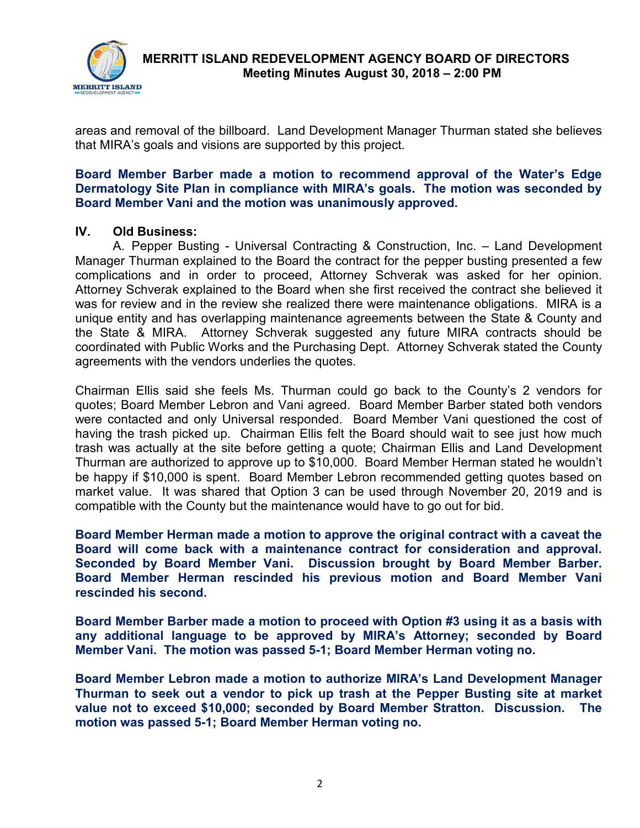

 **MERRITT ISLAND REDEVELOPMENT AGENCY BOARD OF DIRECTORS Meeting Minutes August 30, 2018 – 2:00 PM** 

areas and removal of the billboard. Land Development Manager Thurman stated she believes that MIRA's goals and visions are supported by this project.

#### **Board Member Barber made a motion to recommend approval of the Water's Edge Dermatology Site Plan in compliance with MIRA's goals. The motion was seconded by Board Member Vani and the motion was unanimously approved.**

#### **IV. Old Business:**

A. Pepper Busting - Universal Contracting & Construction, Inc. – Land Development Manager Thurman explained to the Board the contract for the pepper busting presented a few complications and in order to proceed, Attorney Schverak was asked for her opinion. Attorney Schverak explained to the Board when she first received the contract she believed it was for review and in the review she realized there were maintenance obligations. MIRA is a unique entity and has overlapping maintenance agreements between the State & County and the State & MIRA. Attorney Schverak suggested any future MIRA contracts should be coordinated with Public Works and the Purchasing Dept. Attorney Schverak stated the County agreements with the vendors underlies the quotes.

Chairman Ellis said she feels Ms. Thurman could go back to the County's 2 vendors for quotes; Board Member Lebron and Vani agreed. Board Member Barber stated both vendors were contacted and only Universal responded. Board Member Vani questioned the cost of having the trash picked up. Chairman Ellis felt the Board should wait to see just how much trash was actually at the site before getting a quote; Chairman Ellis and Land Development Thurman are authorized to approve up to \$10,000. Board Member Herman stated he wouldn't be happy if \$10,000 is spent. Board Member Lebron recommended getting quotes based on market value. It was shared that Option 3 can be used through November 20, 2019 and is compatible with the County but the maintenance would have to go out for bid.

**Board Member Herman made a motion to approve the original contract with a caveat the Board will come back with a maintenance contract for consideration and approval. Seconded by Board Member Vani. Discussion brought by Board Member Barber. Board Member Herman rescinded his previous motion and Board Member Vani rescinded his second.**

**Board Member Barber made a motion to proceed with Option #3 using it as a basis with any additional language to be approved by MIRA's Attorney; seconded by Board Member Vani. The motion was passed 5-1; Board Member Herman voting no.** 

**Board Member Lebron made a motion to authorize MIRA's Land Development Manager Thurman to seek out a vendor to pick up trash at the Pepper Busting site at market value not to exceed \$10,000; seconded by Board Member Stratton. Discussion. The motion was passed 5-1; Board Member Herman voting no.**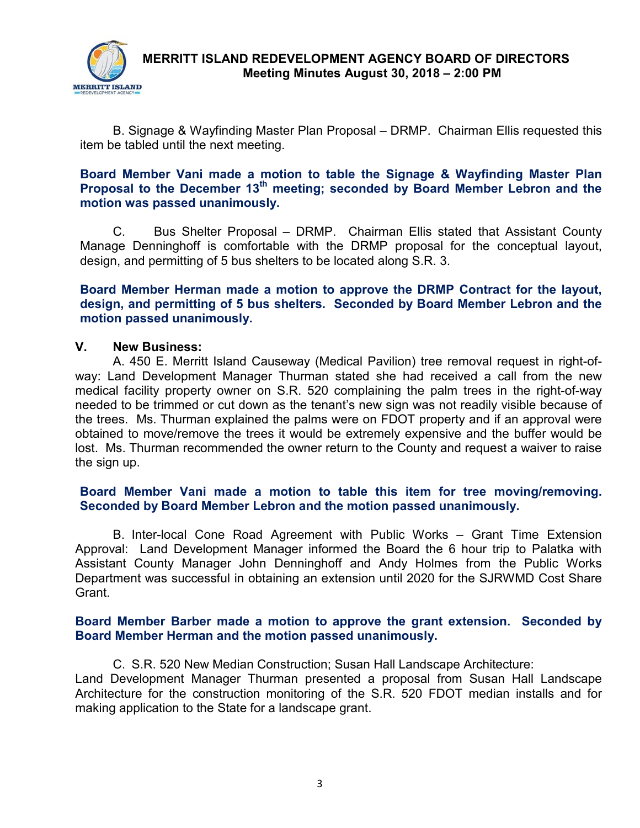

 **MERRITT ISLAND REDEVELOPMENT AGENCY BOARD OF DIRECTORS Meeting Minutes August 30, 2018 – 2:00 PM** 

B. Signage & Wayfinding Master Plan Proposal – DRMP. Chairman Ellis requested this item be tabled until the next meeting.

## **Board Member Vani made a motion to table the Signage & Wayfinding Master Plan Proposal to the December 13th meeting; seconded by Board Member Lebron and the motion was passed unanimously.**

C. Bus Shelter Proposal – DRMP. Chairman Ellis stated that Assistant County Manage Denninghoff is comfortable with the DRMP proposal for the conceptual layout, design, and permitting of 5 bus shelters to be located along S.R. 3.

## **Board Member Herman made a motion to approve the DRMP Contract for the layout, design, and permitting of 5 bus shelters. Seconded by Board Member Lebron and the motion passed unanimously.**

#### **V. New Business:**

A. 450 E. Merritt Island Causeway (Medical Pavilion) tree removal request in right-ofway: Land Development Manager Thurman stated she had received a call from the new medical facility property owner on S.R. 520 complaining the palm trees in the right-of-way needed to be trimmed or cut down as the tenant's new sign was not readily visible because of the trees. Ms. Thurman explained the palms were on FDOT property and if an approval were obtained to move/remove the trees it would be extremely expensive and the buffer would be lost. Ms. Thurman recommended the owner return to the County and request a waiver to raise the sign up.

## **Board Member Vani made a motion to table this item for tree moving/removing. Seconded by Board Member Lebron and the motion passed unanimously.**

B. Inter-local Cone Road Agreement with Public Works – Grant Time Extension Approval: Land Development Manager informed the Board the 6 hour trip to Palatka with Assistant County Manager John Denninghoff and Andy Holmes from the Public Works Department was successful in obtaining an extension until 2020 for the SJRWMD Cost Share Grant.

#### **Board Member Barber made a motion to approve the grant extension. Seconded by Board Member Herman and the motion passed unanimously.**

C. S.R. 520 New Median Construction; Susan Hall Landscape Architecture: Land Development Manager Thurman presented a proposal from Susan Hall Landscape Architecture for the construction monitoring of the S.R. 520 FDOT median installs and for making application to the State for a landscape grant.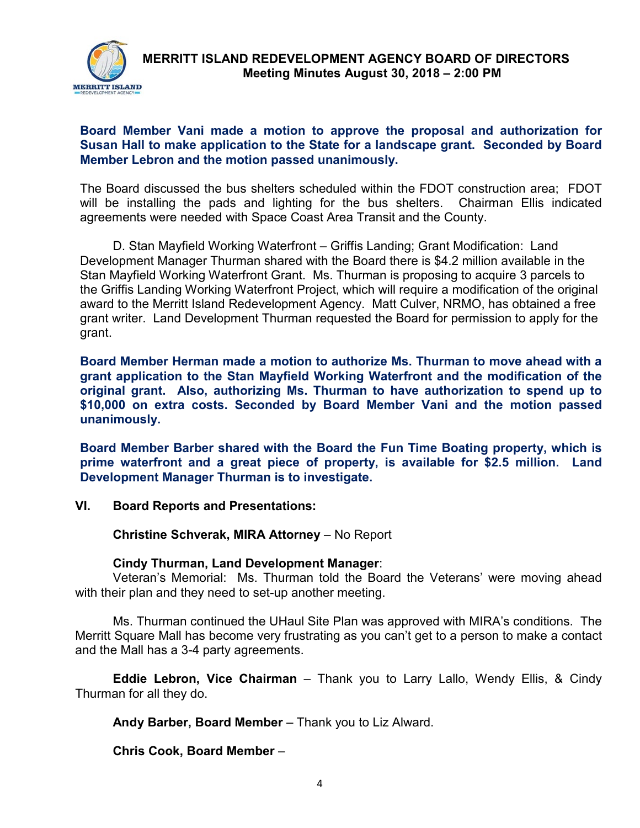

## **Board Member Vani made a motion to approve the proposal and authorization for Susan Hall to make application to the State for a landscape grant. Seconded by Board Member Lebron and the motion passed unanimously.**

The Board discussed the bus shelters scheduled within the FDOT construction area; FDOT will be installing the pads and lighting for the bus shelters. Chairman Ellis indicated agreements were needed with Space Coast Area Transit and the County.

D. Stan Mayfield Working Waterfront – Griffis Landing; Grant Modification: Land Development Manager Thurman shared with the Board there is \$4.2 million available in the Stan Mayfield Working Waterfront Grant. Ms. Thurman is proposing to acquire 3 parcels to the Griffis Landing Working Waterfront Project, which will require a modification of the original award to the Merritt Island Redevelopment Agency. Matt Culver, NRMO, has obtained a free grant writer. Land Development Thurman requested the Board for permission to apply for the grant.

**Board Member Herman made a motion to authorize Ms. Thurman to move ahead with a grant application to the Stan Mayfield Working Waterfront and the modification of the original grant. Also, authorizing Ms. Thurman to have authorization to spend up to \$10,000 on extra costs. Seconded by Board Member Vani and the motion passed unanimously.**

**Board Member Barber shared with the Board the Fun Time Boating property, which is prime waterfront and a great piece of property, is available for \$2.5 million. Land Development Manager Thurman is to investigate.**

**VI. Board Reports and Presentations:** 

**Christine Schverak, MIRA Attorney** – No Report

## **Cindy Thurman, Land Development Manager**:

Veteran's Memorial: Ms. Thurman told the Board the Veterans' were moving ahead with their plan and they need to set-up another meeting.

Ms. Thurman continued the UHaul Site Plan was approved with MIRA's conditions. The Merritt Square Mall has become very frustrating as you can't get to a person to make a contact and the Mall has a 3-4 party agreements.

**Eddie Lebron, Vice Chairman** – Thank you to Larry Lallo, Wendy Ellis, & Cindy Thurman for all they do.

**Andy Barber, Board Member** – Thank you to Liz Alward.

**Chris Cook, Board Member** –